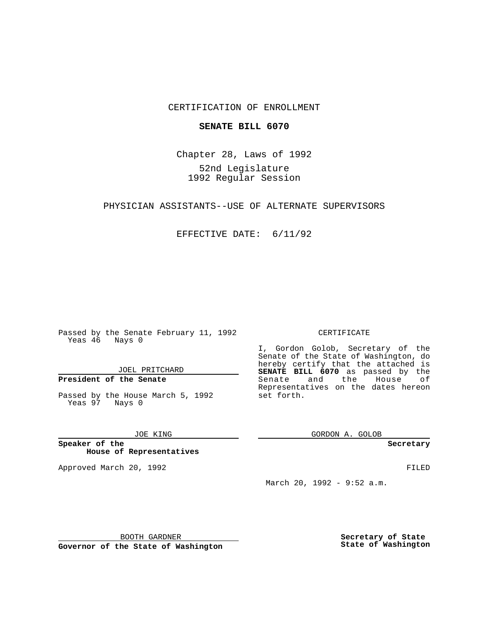## CERTIFICATION OF ENROLLMENT

### **SENATE BILL 6070**

Chapter 28, Laws of 1992 52nd Legislature 1992 Regular Session

## PHYSICIAN ASSISTANTS--USE OF ALTERNATE SUPERVISORS

#### EFFECTIVE DATE: 6/11/92

Passed by the Senate February 11, 1992 Yeas 46 Nays 0

#### JOEL PRITCHARD

## **President of the Senate**

Passed by the House March 5, 1992 Yeas 97 Nays 0

#### JOE KING

**Speaker of the House of Representatives**

Approved March 20, 1992 **FILED** 

#### CERTIFICATE

I, Gordon Golob, Secretary of the Senate of the State of Washington, do hereby certify that the attached is **SENATE BILL 6070** as passed by the Senate and the House of Representatives on the dates hereon set forth.

GORDON A. GOLOB

**Secretary**

March 20, 1992 - 9:52 a.m.

BOOTH GARDNER

**Governor of the State of Washington**

**Secretary of State State of Washington**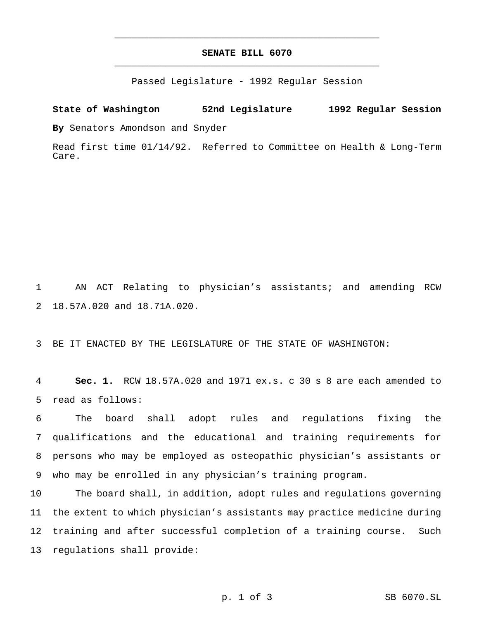# **SENATE BILL 6070** \_\_\_\_\_\_\_\_\_\_\_\_\_\_\_\_\_\_\_\_\_\_\_\_\_\_\_\_\_\_\_\_\_\_\_\_\_\_\_\_\_\_\_\_\_\_\_

\_\_\_\_\_\_\_\_\_\_\_\_\_\_\_\_\_\_\_\_\_\_\_\_\_\_\_\_\_\_\_\_\_\_\_\_\_\_\_\_\_\_\_\_\_\_\_

Passed Legislature - 1992 Regular Session

**State of Washington 52nd Legislature 1992 Regular Session**

**By** Senators Amondson and Snyder

Read first time 01/14/92. Referred to Committee on Health & Long-Term Care.

1 AN ACT Relating to physician's assistants; and amending RCW 2 18.57A.020 and 18.71A.020.

3 BE IT ENACTED BY THE LEGISLATURE OF THE STATE OF WASHINGTON:

4 **Sec. 1.** RCW 18.57A.020 and 1971 ex.s. c 30 s 8 are each amended to 5 read as follows:

 The board shall adopt rules and regulations fixing the qualifications and the educational and training requirements for persons who may be employed as osteopathic physician's assistants or who may be enrolled in any physician's training program.

 The board shall, in addition, adopt rules and regulations governing the extent to which physician's assistants may practice medicine during training and after successful completion of a training course. Such regulations shall provide: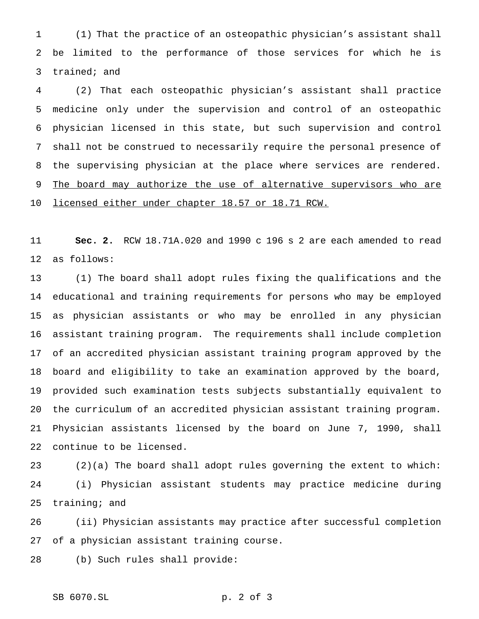(1) That the practice of an osteopathic physician's assistant shall be limited to the performance of those services for which he is trained; and

 (2) That each osteopathic physician's assistant shall practice medicine only under the supervision and control of an osteopathic physician licensed in this state, but such supervision and control shall not be construed to necessarily require the personal presence of the supervising physician at the place where services are rendered. 9 The board may authorize the use of alternative supervisors who are licensed either under chapter 18.57 or 18.71 RCW.

 **Sec. 2.** RCW 18.71A.020 and 1990 c 196 s 2 are each amended to read as follows:

 (1) The board shall adopt rules fixing the qualifications and the educational and training requirements for persons who may be employed as physician assistants or who may be enrolled in any physician assistant training program. The requirements shall include completion of an accredited physician assistant training program approved by the board and eligibility to take an examination approved by the board, provided such examination tests subjects substantially equivalent to the curriculum of an accredited physician assistant training program. Physician assistants licensed by the board on June 7, 1990, shall continue to be licensed.

 (2)(a) The board shall adopt rules governing the extent to which: (i) Physician assistant students may practice medicine during training; and

 (ii) Physician assistants may practice after successful completion of a physician assistant training course.

(b) Such rules shall provide:

SB 6070.SL p. 2 of 3